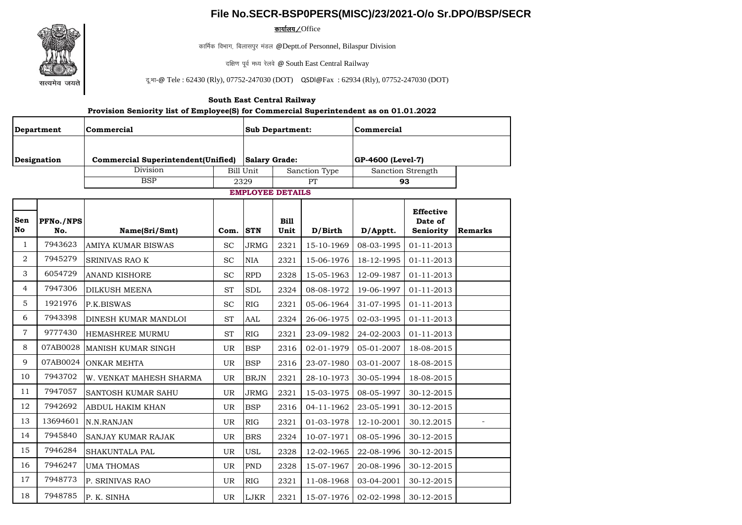## **File No.SECR-BSP0PERS(MISC)/23/2021-O/o Sr.DPO/BSP/SECR**

<u>कार्यालय∠</u>Office

कार्मिक विभाग, बिलासपुर मंडल @Deptt.of Personnel, Bilaspur Division

दक्षिण पूर्व मध्य रेलवे @ South East Central Railway

दू: भा-@ Tele : 62430 (Rly), 07752-247030 (DOT) QSDl@Fax : 62934 (Rly), 07752-247030 (DOT)

## **South East Central Railway**

## **Provision Seniority list of Employee(S) for Commercial Superintendent as on 01.01.2022**

| Department<br>Designation |                         | Commercial                                | <b>Sub Department:</b><br><b>Salary Grade:</b> |                            |                     | Commercial        |            |                                          |         |
|---------------------------|-------------------------|-------------------------------------------|------------------------------------------------|----------------------------|---------------------|-------------------|------------|------------------------------------------|---------|
|                           |                         | <b>Commercial Superintendent(Unified)</b> |                                                |                            |                     | GP-4600 (Level-7) |            |                                          |         |
|                           |                         | Division                                  |                                                | Sanction Type<br>Bill Unit |                     | Sanction Strength |            |                                          |         |
|                           |                         | <b>BSP</b>                                |                                                | 2329                       | PT                  |                   | 93         |                                          |         |
| <b>EMPLOYEE DETAILS</b>   |                         |                                           |                                                |                            |                     |                   |            |                                          |         |
| Sen<br>No                 | <b>PFNo./NPS</b><br>No. | Name(Sri/Smt)                             | Com.                                           | <b>STN</b>                 | <b>Bill</b><br>Unit | D/Birth           | D/Apptt.   | <b>Effective</b><br>Date of<br>Seniority | Remarks |
| $\mathbf{1}$              | 7943623                 | <b>AMIYA KUMAR BISWAS</b>                 | <b>SC</b>                                      | <b>JRMG</b>                | 2321                | 15-10-1969        | 08-03-1995 | 01-11-2013                               |         |
| 2                         | 7945279                 | <b>SRINIVAS RAO K</b>                     | <b>SC</b>                                      | <b>NIA</b>                 | 2321                | 15-06-1976        | 18-12-1995 | 01-11-2013                               |         |
| 3                         | 6054729                 | <b>ANAND KISHORE</b>                      | <b>SC</b>                                      | RPD                        | 2328                | 15-05-1963        | 12-09-1987 | 01-11-2013                               |         |
| $\overline{4}$            | 7947306                 | <b>DILKUSH MEENA</b>                      | <b>ST</b>                                      | <b>SDL</b>                 | 2324                | 08-08-1972        | 19-06-1997 | 01-11-2013                               |         |
| 5                         | 1921976                 | P.K.BISWAS                                | <b>SC</b>                                      | RIG                        | 2321                | 05-06-1964        | 31-07-1995 | 01-11-2013                               |         |
| 6                         | 7943398                 | <b>DINESH KUMAR MANDLOI</b>               | <b>ST</b>                                      | AAL                        | 2324                | 26-06-1975        | 02-03-1995 | 01-11-2013                               |         |
| $\overline{7}$            | 9777430                 | <b>HEMASHREE MURMU</b>                    | <b>ST</b>                                      | <b>RIG</b>                 | 2321                | 23-09-1982        | 24-02-2003 | 01-11-2013                               |         |
| 8                         | 07AB0028                | <b>MANISH KUMAR SINGH</b>                 | <b>UR</b>                                      | <b>BSP</b>                 | 2316                | 02-01-1979        | 05-01-2007 | 18-08-2015                               |         |
| 9                         | 07AB0024                | <b>ONKAR MEHTA</b>                        | UR                                             | <b>BSP</b>                 | 2316                | 23-07-1980        | 03-01-2007 | 18-08-2015                               |         |
| 10                        | 7943702                 | W. VENKAT MAHESH SHARMA                   | <b>UR</b>                                      | <b>BRJN</b>                | 2321                | 28-10-1973        | 30-05-1994 | 18-08-2015                               |         |
| 11                        | 7947057                 | <b>SANTOSH KUMAR SAHU</b>                 | <b>UR</b>                                      | <b>JRMG</b>                | 2321                | 15-03-1975        | 08-05-1997 | 30-12-2015                               |         |
| 12                        | 7942692                 | <b>ABDUL HAKIM KHAN</b>                   | <b>UR</b>                                      | <b>BSP</b>                 | 2316                | 04-11-1962        | 23-05-1991 | 30-12-2015                               |         |
| 13                        | 13694601                | N.N.RANJAN                                | <b>UR</b>                                      | RIG                        | 2321                | 01-03-1978        | 12-10-2001 | 30.12.2015                               |         |
| 14                        | 7945840                 | <b>SANJAY KUMAR RAJAK</b>                 | UR                                             | <b>BRS</b>                 | 2324                | 10-07-1971        | 08-05-1996 | 30-12-2015                               |         |
| 15                        | 7946284                 | <b>SHAKUNTALA PAL</b>                     | <b>UR</b>                                      | <b>USL</b>                 | 2328                | 12-02-1965        | 22-08-1996 | 30-12-2015                               |         |
| 16                        | 7946247                 | <b>UMA THOMAS</b>                         | <b>UR</b>                                      | <b>PND</b>                 | 2328                | 15-07-1967        | 20-08-1996 | 30-12-2015                               |         |
| 17                        | 7948773                 | P. SRINIVAS RAO                           | <b>UR</b>                                      | RIG                        | 2321                | 11-08-1968        | 03-04-2001 | 30-12-2015                               |         |
| 18                        | 7948785                 | P. K. SINHA                               | UR.                                            | LJKR                       | 2321                | 15-07-1976        | 02-02-1998 | 30-12-2015                               |         |

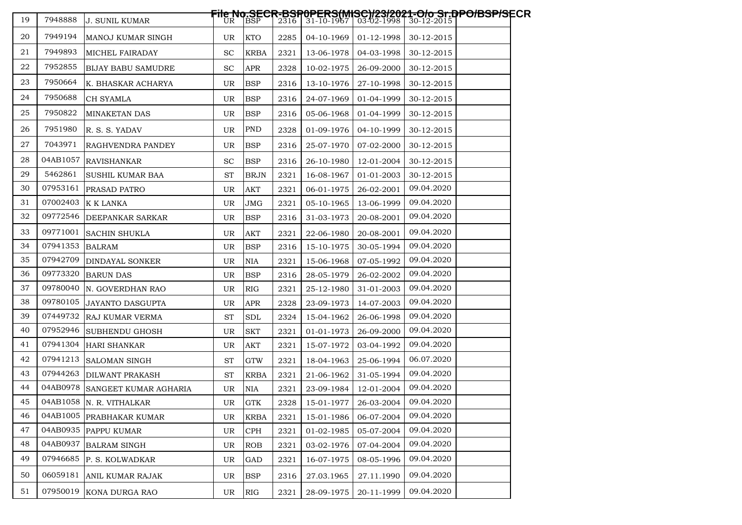| 19 | 7948888  | <b>J. SUNIL KUMAR</b>          |           |             |      |            |            | File No.SECR-BSR0PERS(MISC)/23/2021-O/o Sr.DPO/BSP/SECR<br>    UR    BSP     2316   31-10-1967   03-02-1998   30-12-2015 |
|----|----------|--------------------------------|-----------|-------------|------|------------|------------|--------------------------------------------------------------------------------------------------------------------------|
| 20 | 7949194  | MANOJ KUMAR SINGH              | UR        | KTO         | 2285 | 04-10-1969 | 01-12-1998 | 30-12-2015                                                                                                               |
| 21 | 7949893  | <b>MICHEL FAIRADAY</b>         | <b>SC</b> | <b>KRBA</b> | 2321 | 13-06-1978 | 04-03-1998 | 30-12-2015                                                                                                               |
| 22 | 7952855  | BIJAY BABU SAMUDRE             | <b>SC</b> | <b>APR</b>  | 2328 | 10-02-1975 | 26-09-2000 | 30-12-2015                                                                                                               |
| 23 | 7950664  | K. BHASKAR ACHARYA             | <b>UR</b> | <b>BSP</b>  | 2316 | 13-10-1976 | 27-10-1998 | 30-12-2015                                                                                                               |
| 24 | 7950688  | <b>CH SYAMLA</b>               | UR        | <b>BSP</b>  | 2316 | 24-07-1969 | 01-04-1999 | 30-12-2015                                                                                                               |
| 25 | 7950822  | <b>MINAKETAN DAS</b>           | UR        | <b>BSP</b>  | 2316 | 05-06-1968 | 01-04-1999 | 30-12-2015                                                                                                               |
| 26 | 7951980  | R. S. S. YADAV                 | UR        | <b>PND</b>  | 2328 | 01-09-1976 | 04-10-1999 | 30-12-2015                                                                                                               |
| 27 | 7043971  | RAGHVENDRA PANDEY              | UR        | <b>BSP</b>  | 2316 | 25-07-1970 | 07-02-2000 | 30-12-2015                                                                                                               |
| 28 | 04AB1057 | <b>RAVISHANKAR</b>             | SC        | <b>BSP</b>  | 2316 | 26-10-1980 | 12-01-2004 | 30-12-2015                                                                                                               |
| 29 | 5462861  | SUSHIL KUMAR BAA               | <b>ST</b> | <b>BRJN</b> | 2321 | 16-08-1967 | 01-01-2003 | 30-12-2015                                                                                                               |
| 30 | 07953161 | <b>PRASAD PATRO</b>            | UR        | <b>AKT</b>  | 2321 | 06-01-1975 | 26-02-2001 | 09.04.2020                                                                                                               |
| 31 | 07002403 | K K LANKA                      | UR        | JMG         | 2321 | 05-10-1965 | 13-06-1999 | 09.04.2020                                                                                                               |
| 32 | 09772546 | <b>DEEPANKAR SARKAR</b>        | UR        | <b>BSP</b>  | 2316 | 31-03-1973 | 20-08-2001 | 09.04.2020                                                                                                               |
| 33 | 09771001 | <b>SACHIN SHUKLA</b>           | UR        | <b>AKT</b>  | 2321 | 22-06-1980 | 20-08-2001 | 09.04.2020                                                                                                               |
| 34 | 07941353 | <b>BALRAM</b>                  | UR        | <b>BSP</b>  | 2316 | 15-10-1975 | 30-05-1994 | 09.04.2020                                                                                                               |
| 35 | 07942709 | DINDAYAL SONKER                | UR        | <b>NIA</b>  | 2321 | 15-06-1968 | 07-05-1992 | 09.04.2020                                                                                                               |
| 36 | 09773320 | <b>BARUN DAS</b>               | UR        | <b>BSP</b>  | 2316 | 28-05-1979 | 26-02-2002 | 09.04.2020                                                                                                               |
| 37 | 09780040 | N. GOVERDHAN RAO               | UR        | <b>RIG</b>  | 2321 | 25-12-1980 | 31-01-2003 | 09.04.2020                                                                                                               |
| 38 | 09780105 | <b>JAYANTO DASGUPTA</b>        | UR        | <b>APR</b>  | 2328 | 23-09-1973 | 14-07-2003 | 09.04.2020                                                                                                               |
| 39 | 07449732 | RAJ KUMAR VERMA                | <b>ST</b> | <b>SDL</b>  | 2324 | 15-04-1962 | 26-06-1998 | 09.04.2020                                                                                                               |
| 40 | 07952946 | SUBHENDU GHOSH                 | UR        | <b>SKT</b>  | 2321 | 01-01-1973 | 26-09-2000 | 09.04.2020                                                                                                               |
| 41 |          | 07941304 HARI SHANKAR          | UR        | <b>AKT</b>  | 2321 | 15-07-1972 | 03-04-1992 | 09.04.2020                                                                                                               |
| 42 | 07941213 | SALOMAN SINGH                  | <b>ST</b> | <b>GTW</b>  | 2321 | 18-04-1963 | 25-06-1994 | 06.07.2020                                                                                                               |
| 43 |          | 07944263 DILWANT PRAKASH       | <b>ST</b> | <b>KRBA</b> | 2321 | 21-06-1962 | 31-05-1994 | 09.04.2020                                                                                                               |
| 44 |          | 04AB0978 SANGEET KUMAR AGHARIA | UR        | <b>NIA</b>  | 2321 | 23-09-1984 | 12-01-2004 | 09.04.2020                                                                                                               |
| 45 |          | 04AB1058 N. R. VITHALKAR       | UR        | <b>GTK</b>  | 2328 | 15-01-1977 | 26-03-2004 | 09.04.2020                                                                                                               |
| 46 |          | 04AB1005 PRABHAKAR KUMAR       | UR        | <b>KRBA</b> | 2321 | 15-01-1986 | 06-07-2004 | 09.04.2020                                                                                                               |
| 47 | 04AB0935 | <b>PAPPU KUMAR</b>             | UR        | CPH         | 2321 | 01-02-1985 | 05-07-2004 | 09.04.2020                                                                                                               |
| 48 | 04AB0937 | <b>BALRAM SINGH</b>            | UR        | ROB         | 2321 | 03-02-1976 | 07-04-2004 | 09.04.2020                                                                                                               |
| 49 | 07946685 | P. S. KOLWADKAR                | UR        | GAD         | 2321 | 16-07-1975 | 08-05-1996 | 09.04.2020                                                                                                               |
| 50 | 06059181 | ANIL KUMAR RAJAK               | UR        | <b>BSP</b>  | 2316 | 27.03.1965 | 27.11.1990 | 09.04.2020                                                                                                               |
| 51 | 07950019 | KONA DURGA RAO                 | UR        | RIG         | 2321 | 28-09-1975 | 20-11-1999 | 09.04.2020                                                                                                               |
|    |          |                                |           |             |      |            |            |                                                                                                                          |